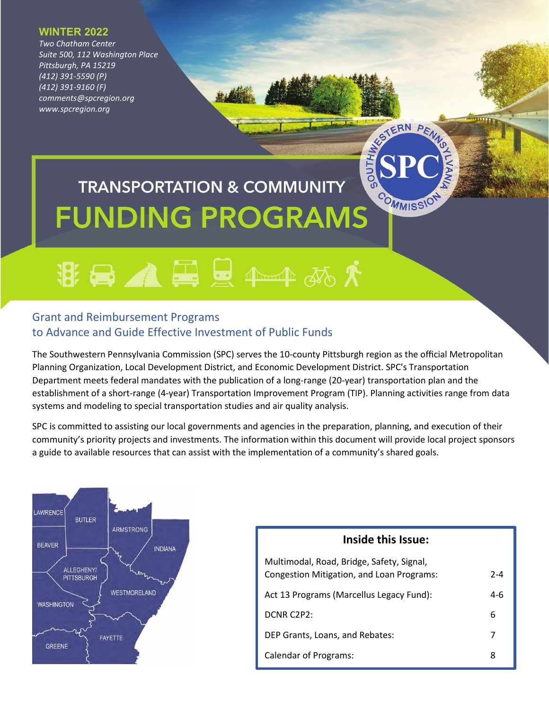#### **WINTER 2022**

*Two Chatham Center Suite 500, 112 Washington Place Pittsburgh, PA 15219 (412) 391-5590 (P) (412) 391-9160 (F) comments@spcregion.org www.spcregion.org*

# SOPONIA DE LA CONSTRUITION DE LA CONSTRUITION DE LA CONSTRUITION DE **TRANSPORTATION & COMMUNITY FUNDING PROGRAMS**

## **谢曼 ▲ 墨 曼 ← 本 あ 大**

#### Grant and Reimbursement Programs to Advance and Guide Effective Investment of Public Funds

The Southwestern Pennsylvania Commission (SPC) serves the 10-county Pittsburgh region as the official Metropolitan Planning Organization, Local Development District, and Economic Development District. SPC's Transportation Department meets federal mandates with the publication of a long-range (20-year) transportation plan and the establishment of a short-range (4-year) Transportation Improvement Program (TIP). Planning activities range from data systems and modeling to special transportation studies and air quality analysis.

SPC is committed to assisting our local governments and agencies in the preparation, planning, and execution of their community's priority projects and investments. The information within this document will provide local project sponsors a guide to available resources that can assist with the implementation of a community's shared goals.



## **Inside this Issue:** Multimodal, Road, Bridge, Safety, Signal, Congestion Mitigation, and Loan Programs: 2-4 Act 13 Programs (Marcellus Legacy Fund): 4-6 DCNR C2P2: 6 DEP Grants, Loans, and Rebates: 7 Calendar of Programs: 8

COMMISSIO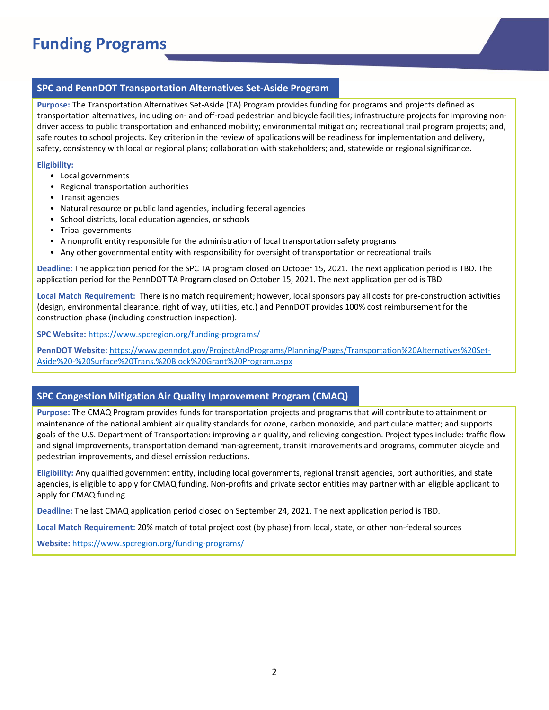## **Funding Programs**

#### **SPC and PennDOT Transportation Alternatives Set-Aside Program**

**Purpose:** The Transportation Alternatives Set-Aside (TA) Program provides funding for programs and projects defined as transportation alternatives, including on- and off-road pedestrian and bicycle facilities; infrastructure projects for improving nondriver access to public transportation and enhanced mobility; environmental mitigation; recreational trail program projects; and, safe routes to school projects. Key criterion in the review of applications will be readiness for implementation and delivery, safety, consistency with local or regional plans; collaboration with stakeholders; and, statewide or regional significance.

#### **Eligibility:**

- Local governments
- Regional transportation authorities
- Transit agencies
- Natural resource or public land agencies, including federal agencies
- School districts, local education agencies, or schools
- Tribal governments
- A nonprofit entity responsible for the administration of local transportation safety programs
- Any other governmental entity with responsibility for oversight of transportation or recreational trails

**Deadline:** The application period for the SPC TA program closed on October 15, 2021. The next application period is TBD. The application period for the PennDOT TA Program closed on October 15, 2021. The next application period is TBD.

**Local Match Requirement:** There is no match requirement; however, local sponsors pay all costs for pre-construction activities (design, environmental clearance, right of way, utilities, etc.) and PennDOT provides 100% cost reimbursement for the construction phase (including construction inspection).

**SPC Website:** [https://www.spcregion.org/funding](https://www.spcregion.org/funding-programs/)-programs/

**PennDOT Website:** [https://www.penndot.gov/ProjectAndPrograms/Planning/Pages/Transportation%20Alternatives%20Set](https://www.penndot.gov/ProjectAndPrograms/Planning/Pages/Transportation%20Alternatives%20Set-Aside%20-%20Surface%20Trans.%20Block%20Grant%20Program.aspx)-Aside%20-[%20Surface%20Trans.%20Block%20Grant%20Program.aspx](https://www.penndot.gov/ProjectAndPrograms/Planning/Pages/Transportation%20Alternatives%20Set-Aside%20-%20Surface%20Trans.%20Block%20Grant%20Program.aspx)

#### **SPC Congestion Mitigation Air Quality Improvement Program (CMAQ)**

**Purpose:** The CMAQ Program provides funds for transportation projects and programs that will contribute to attainment or maintenance of the national ambient air quality standards for ozone, carbon monoxide, and particulate matter; and supports goals of the U.S. Department of Transportation: improving air quality, and relieving congestion. Project types include: traffic flow and signal improvements, transportation demand man-agreement, transit improvements and programs, commuter bicycle and pedestrian improvements, and diesel emission reductions.

**Eligibility:** Any qualified government entity, including local governments, regional transit agencies, port authorities, and state agencies, is eligible to apply for CMAQ funding. Non-profits and private sector entities may partner with an eligible applicant to apply for CMAQ funding.

**Deadline:** The last CMAQ application period closed on September 24, 2021. The next application period is TBD.

**Local Match Requirement:** 20% match of total project cost (by phase) from local, state, or other non-federal sources

**Website:** [https://www.spcregion.org/funding](https://www.spcregion.org/funding-programs/)-programs/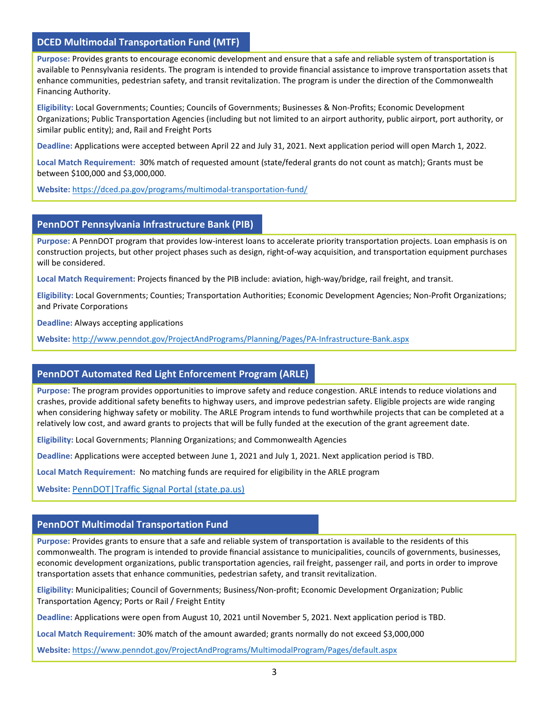#### **DCED Multimodal Transportation Fund (MTF)**

**Purpose:** Provides grants to encourage economic development and ensure that a safe and reliable system of transportation is available to Pennsylvania residents. The program is intended to provide financial assistance to improve transportation assets that enhance communities, pedestrian safety, and transit revitalization. The program is under the direction of the Commonwealth Financing Authority.

**Eligibility:** Local Governments; Counties; Councils of Governments; Businesses & Non-Profits; Economic Development Organizations; Public Transportation Agencies (including but not limited to an airport authority, public airport, port authority, or similar public entity); and, Rail and Freight Ports

**Deadline:** Applications were accepted between April 22 and July 31, 2021. Next application period will open March 1, 2022.

**Local Match Requirement:** 30% match of requested amount (state/federal grants do not count as match); Grants must be between \$100,000 and \$3,000,000.

**Website:** [https://dced.pa.gov/programs/multimodal](https://dced.pa.gov/programs/multimodal-transportation-fund/)-transportation-fund/

#### **PennDOT Pennsylvania Infrastructure Bank (PIB)**

**Purpose:** A PennDOT program that provides low-interest loans to accelerate priority transportation projects. Loan emphasis is on construction projects, but other project phases such as design, right-of-way acquisition, and transportation equipment purchases will be considered.

**Local Match Requirement:** Projects financed by the PIB include: aviation, high-way/bridge, rail freight, and transit.

**Eligibility:** Local Governments; Counties; Transportation Authorities; Economic Development Agencies; Non-Profit Organizations; and Private Corporations

**Deadline:** Always accepting applications

**Website:** [http://www.penndot.gov/ProjectAndPrograms/Planning/Pages/PA](http://www.penndot.gov/ProjectAndPrograms/Planning/Pages/PA-Infrastructure-Bank.aspx)-Infrastructure-Bank.aspx

#### **PennDOT Automated Red Light Enforcement Program (ARLE)**

**Purpose:** The program provides opportunities to improve safety and reduce congestion. ARLE intends to reduce violations and crashes, provide additional safety benefits to highway users, and improve pedestrian safety. Eligible projects are wide ranging when considering highway safety or mobility. The ARLE Program intends to fund worthwhile projects that can be completed at a relatively low cost, and award grants to projects that will be fully funded at the execution of the grant agreement date.

**Eligibility:** Local Governments; Planning Organizations; and Commonwealth Agencies

**Deadline:** Applications were accepted between June 1, 2021 and July 1, 2021. Next application period is TBD.

**Local Match Requirement:** No matching funds are required for eligibility in the ARLE program

**Website:** [PennDOT|Traffic Signal Portal \(state.pa.us\)](https://www.dot.state.pa.us/Portal%20information/Traffic%20Signal%20Portal/FUNDARLE.html)

#### **PennDOT Multimodal Transportation Fund**

**Purpose:** Provides grants to ensure that a safe and reliable system of transportation is available to the residents of this commonwealth. The program is intended to provide financial assistance to municipalities, councils of governments, businesses, economic development organizations, public transportation agencies, rail freight, passenger rail, and ports in order to improve transportation assets that enhance communities, pedestrian safety, and transit revitalization.

**Eligibility:** Municipalities; Council of Governments; Business/Non-profit; Economic Development Organization; Public Transportation Agency; Ports or Rail / Freight Entity

**Deadline:** Applications were open from August 10, 2021 until November 5, 2021. Next application period is TBD.

**Local Match Requirement:** 30% match of the amount awarded; grants normally do not exceed \$3,000,000

**Website:** <https://www.penndot.gov/ProjectAndPrograms/MultimodalProgram/Pages/default.aspx>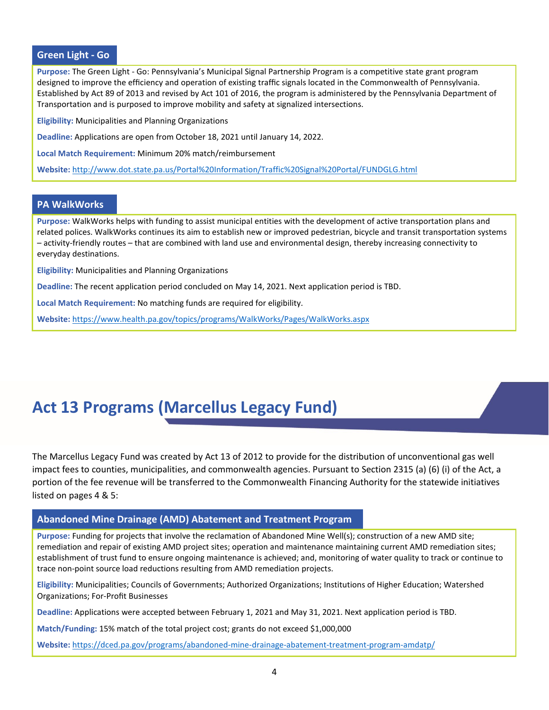#### **Green Light - Go**

**Purpose:** The Green Light - Go: Pennsylvania's Municipal Signal Partnership Program is a competitive state grant program designed to improve the efficiency and operation of existing traffic signals located in the Commonwealth of Pennsylvania. Established by Act 89 of 2013 and revised by Act 101 of 2016, the program is administered by the Pennsylvania Department of Transportation and is purposed to improve mobility and safety at signalized intersections.

**Eligibility:** Municipalities and Planning Organizations

**Deadline:** Applications are open from October 18, 2021 until January 14, 2022.

**Local Match Requirement:** Minimum 20% match/reimbursement

**Website:** <http://www.dot.state.pa.us/Portal%20Information/Traffic%20Signal%20Portal/FUNDGLG.html>

#### **PA WalkWorks**

**Purpose:** WalkWorks helps with funding to assist municipal entities with the development of active transportation plans and related polices. WalkWorks continues its aim to establish new or improved pedestrian, bicycle and transit transportation systems – activity-friendly routes – that are combined with land use and environmental design, thereby increasing connectivity to everyday destinations.

**Eligibility:** Municipalities and Planning Organizations

**Deadline:** The recent application period concluded on May 14, 2021. Next application period is TBD.

**Local Match Requirement:** No matching funds are required for eligibility.

**Website:** <https://www.health.pa.gov/topics/programs/WalkWorks/Pages/WalkWorks.aspx>

### **Act 13 Programs (Marcellus Legacy Fund)**

The Marcellus Legacy Fund was created by Act 13 of 2012 to provide for the distribution of unconventional gas well impact fees to counties, municipalities, and commonwealth agencies. Pursuant to Section 2315 (a) (6) (i) of the Act, a portion of the fee revenue will be transferred to the Commonwealth Financing Authority for the statewide initiatives listed on pages 4 & 5:

#### **Abandoned Mine Drainage (AMD) Abatement and Treatment Program**

**Purpose:** Funding for projects that involve the reclamation of Abandoned Mine Well(s); construction of a new AMD site; remediation and repair of existing AMD project sites; operation and maintenance maintaining current AMD remediation sites; establishment of trust fund to ensure ongoing maintenance is achieved; and, monitoring of water quality to track or continue to trace non-point source load reductions resulting from AMD remediation projects.

**Eligibility:** Municipalities; Councils of Governments; Authorized Organizations; Institutions of Higher Education; Watershed Organizations; For-Profit Businesses

**Deadline:** Applications were accepted between February 1, 2021 and May 31, 2021. Next application period is TBD.

**Match/Funding:** 15% match of the total project cost; grants do not exceed \$1,000,000

**Website:** [https://dced.pa.gov/programs/abandoned](https://dced.pa.gov/programs/abandoned-mine-drainage-abatement-treatment-program-amdatp/)-mine-drainage-abatement-treatment-program-amdatp/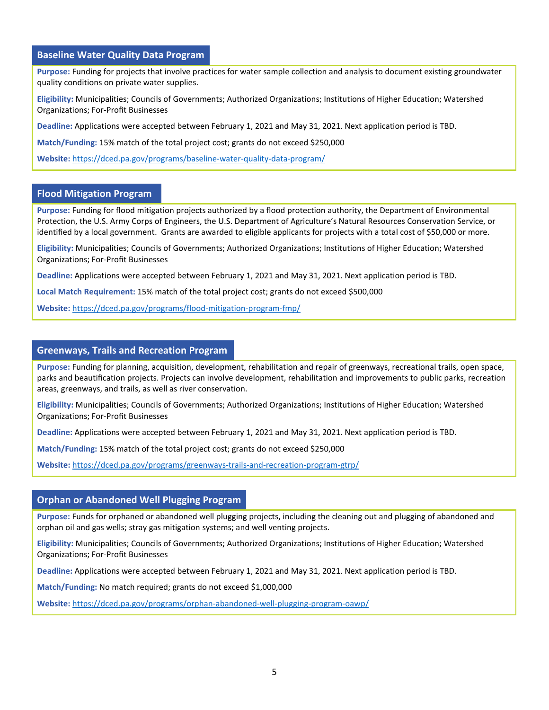#### **Baseline Water Quality Data Program**

**Purpose:** Funding for projects that involve practices for water sample collection and analysis to document existing groundwater quality conditions on private water supplies.

**Eligibility:** Municipalities; Councils of Governments; Authorized Organizations; Institutions of Higher Education; Watershed Organizations; For-Profit Businesses

**Deadline:** Applications were accepted between February 1, 2021 and May 31, 2021. Next application period is TBD.

**Match/Funding:** 15% match of the total project cost; grants do not exceed \$250,000

**Website:** [https://dced.pa.gov/programs/baseline](https://dced.pa.gov/programs/baseline-water-quality-data-program/)-water-quality-data-program/

#### **Flood Mitigation Program**

**Purpose:** Funding for flood mitigation projects authorized by a flood protection authority, the Department of Environmental Protection, the U.S. Army Corps of Engineers, the U.S. Department of Agriculture's Natural Resources Conservation Service, or identified by a local government. Grants are awarded to eligible applicants for projects with a total cost of \$50,000 or more.

**Eligibility:** Municipalities; Councils of Governments; Authorized Organizations; Institutions of Higher Education; Watershed Organizations; For-Profit Businesses

**Deadline:** Applications were accepted between February 1, 2021 and May 31, 2021. Next application period is TBD.

**Local Match Requirement:** 15% match of the total project cost; grants do not exceed \$500,000

**Website:** [https://dced.pa.gov/programs/flood](https://dced.pa.gov/programs/flood-mitigation-program-fmp/)-mitigation-program-fmp/

#### **Greenways, Trails and Recreation Program**

**Purpose:** Funding for planning, acquisition, development, rehabilitation and repair of greenways, recreational trails, open space, parks and beautification projects. Projects can involve development, rehabilitation and improvements to public parks, recreation areas, greenways, and trails, as well as river conservation.

**Eligibility:** Municipalities; Councils of Governments; Authorized Organizations; Institutions of Higher Education; Watershed Organizations; For-Profit Businesses

**Deadline:** Applications were accepted between February 1, 2021 and May 31, 2021. Next application period is TBD.

**Match/Funding:** 15% match of the total project cost; grants do not exceed \$250,000

**Website:** [https://dced.pa.gov/programs/greenways](https://dced.pa.gov/programs/greenways-trails-and-recreation-program-gtrp/)-trails-and-recreation-program-gtrp/

#### **Orphan or Abandoned Well Plugging Program**

**Purpose:** Funds for orphaned or abandoned well plugging projects, including the cleaning out and plugging of abandoned and orphan oil and gas wells; stray gas mitigation systems; and well venting projects.

**Eligibility:** Municipalities; Councils of Governments; Authorized Organizations; Institutions of Higher Education; Watershed Organizations; For-Profit Businesses

**Deadline:** Applications were accepted between February 1, 2021 and May 31, 2021. Next application period is TBD.

**Match/Funding:** No match required; grants do not exceed \$1,000,000

**Website:** [https://dced.pa.gov/programs/orphan](https://dced.pa.gov/programs/orphan-abandoned-well-plugging-program-oawp/)-abandoned-well-plugging-program-oawp/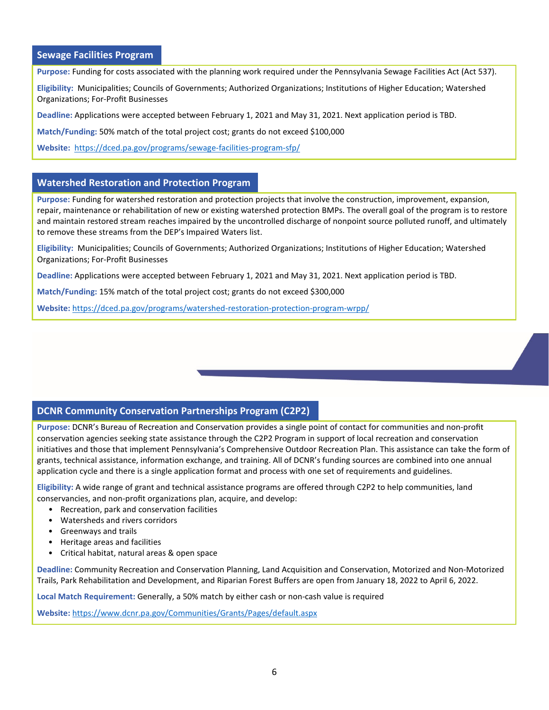#### **Sewage Facilities Program**

**Purpose:** Funding for costs associated with the planning work required under the Pennsylvania Sewage Facilities Act (Act 537).

**Eligibility:** Municipalities; Councils of Governments; Authorized Organizations; Institutions of Higher Education; Watershed Organizations; For-Profit Businesses

**Deadline:** Applications were accepted between February 1, 2021 and May 31, 2021. Next application period is TBD.

**Match/Funding:** 50% match of the total project cost; grants do not exceed \$100,000

**Website:** [https://dced.pa.gov/programs/sewage](https://dced.pa.gov/programs/sewage-facilities-program-sfp/)-facilities-program-sfp/

#### **Watershed Restoration and Protection Program**

**Purpose:** Funding for watershed restoration and protection projects that involve the construction, improvement, expansion, repair, maintenance or rehabilitation of new or existing watershed protection BMPs. The overall goal of the program is to restore and maintain restored stream reaches impaired by the uncontrolled discharge of nonpoint source polluted runoff, and ultimately to remove these streams from the DEP's Impaired Waters list.

**Eligibility:** Municipalities; Councils of Governments; Authorized Organizations; Institutions of Higher Education; Watershed Organizations; For-Profit Businesses

**Deadline:** Applications were accepted between February 1, 2021 and May 31, 2021. Next application period is TBD.

**Match/Funding:** 15% match of the total project cost; grants do not exceed \$300,000

**Website:** [https://dced.pa.gov/programs/watershed](https://dced.pa.gov/programs/watershed-restoration-protection-program-wrpp/)-restoration-protection-program-wrpp/

#### **DCNR Community Conservation Partnerships Program (C2P2)**

**Purpose:** DCNR's Bureau of Recreation and Conservation provides a single point of contact for communities and non-profit conservation agencies seeking state assistance through the C2P2 Program in support of local recreation and conservation initiatives and those that implement Pennsylvania's Comprehensive Outdoor Recreation Plan. This assistance can take the form of grants, technical assistance, information exchange, and training. All of DCNR's funding sources are combined into one annual application cycle and there is a single application format and process with one set of requirements and guidelines.

**Eligibility:** A wide range of grant and technical assistance programs are offered through C2P2 to help communities, land conservancies, and non-profit organizations plan, acquire, and develop:

- Recreation, park and conservation facilities
- Watersheds and rivers corridors
- Greenways and trails
- Heritage areas and facilities
- Critical habitat, natural areas & open space

**Deadline:** Community Recreation and Conservation Planning, Land Acquisition and Conservation, Motorized and Non-Motorized Trails, Park Rehabilitation and Development, and Riparian Forest Buffers are open from January 18, 2022 to April 6, 2022.

**Local Match Requirement:** Generally, a 50% match by either cash or non-cash value is required

**Website:** <https://www.dcnr.pa.gov/Communities/Grants/Pages/default.aspx>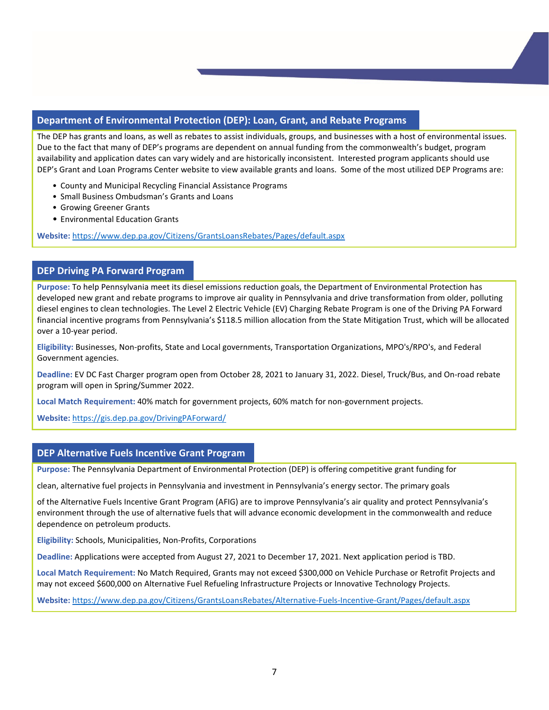#### **Department of Environmental Protection (DEP): Loan, Grant, and Rebate Programs**

The DEP has grants and loans, as well as rebates to assist individuals, groups, and businesses with a host of environmental issues. Due to the fact that many of DEP's programs are dependent on annual funding from the commonwealth's budget, program availability and application dates can vary widely and are historically inconsistent. Interested program applicants should use DEP's Grant and Loan Programs Center website to view available grants and loans. Some of the most utilized DEP Programs are:

- County and Municipal Recycling Financial Assistance Programs
- Small Business Ombudsman's Grants and Loans
- Growing Greener Grants
- Environmental Education Grants

**Website:** <https://www.dep.pa.gov/Citizens/GrantsLoansRebates/Pages/default.aspx>

#### **DEP Driving PA Forward Program**

**Purpose:** To help Pennsylvania meet its diesel emissions reduction goals, the Department of Environmental Protection has developed new grant and rebate programs to improve air quality in Pennsylvania and drive transformation from older, polluting diesel engines to clean technologies. The Level 2 Electric Vehicle (EV) Charging Rebate Program is one of the Driving PA Forward financial incentive programs from Pennsylvania's \$118.5 million allocation from the State Mitigation Trust, which will be allocated over a 10-year period.

**Eligibility:** Businesses, Non-profits, State and Local governments, Transportation Organizations, MPO's/RPO's, and Federal Government agencies.

**Deadline:** EV DC Fast Charger program open from October 28, 2021 to January 31, 2022. Diesel, Truck/Bus, and On-road rebate program will open in Spring/Summer 2022.

**Local Match Requirement:** 40% match for government projects, 60% match for non-government projects.

**Website:** <https://gis.dep.pa.gov/DrivingPAForward/>

#### **DEP Alternative Fuels Incentive Grant Program**

**Purpose:** The Pennsylvania Department of Environmental Protection (DEP) is offering competitive grant funding for

clean, alternative fuel projects in Pennsylvania and investment in Pennsylvania's energy sector. The primary goals

of the Alternative Fuels Incentive Grant Program (AFIG) are to improve Pennsylvania's air quality and protect Pennsylvania's environment through the use of alternative fuels that will advance economic development in the commonwealth and reduce dependence on petroleum products.

**Eligibility:** Schools, Municipalities, Non-Profits, Corporations

**Deadline:** Applications were accepted from August 27, 2021 to December 17, 2021. Next application period is TBD.

**Local Match Requirement:** No Match Required, Grants may not exceed \$300,000 on Vehicle Purchase or Retrofit Projects and may not exceed \$600,000 on Alternative Fuel Refueling Infrastructure Projects or Innovative Technology Projects.

**Website:** [https://www.dep.pa.gov/Citizens/GrantsLoansRebates/Alternative](https://www.dep.pa.gov/Citizens/GrantsLoansRebates/Alternative-Fuels-Incentive-Grant/Pages/default.aspx)-Fuels-Incentive-Grant/Pages/default.aspx